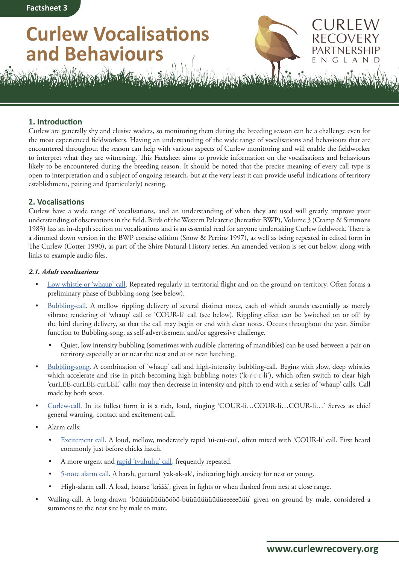# **Curlew Vocalisations and Behaviours**



URIFW

NGLAND

# **1. Introduction**

Curlew are generally shy and elusive waders, so monitoring them during the breeding season can be a challenge even for the most experienced fieldworkers. Having an understanding of the wide range of vocalisations and behaviours that are encountered throughout the season can help with various aspects of Curlew monitoring and will enable the fieldworker to interpret what they are witnessing. This Factsheet aims to provide information on the vocalisations and behaviours likely to be encountered during the breeding season. It should be noted that the precise meaning of every call type is open to interpretation and a subject of ongoing research, but at the very least it can provide useful indications of territory establishment, pairing and (particularly) nesting.

# **2. Vocalisations**

Curlew have a wide range of vocalisations, and an understanding of when they are used will greatly improve your understanding of observations in the field. Birds of the Western Palearctic (hereafter BWP), Volume 3 (Cramp & Simmons 1983) has an in-depth section on vocalisations and is an essential read for anyone undertaking Curlew fieldwork. There is a slimmed down version in the BWP concise edition (Snow & Perrins 1997), as well as being repeated in edited form in The Curlew (Cotter 1990), as part of the Shire Natural History series. An amended version is set out below, along with links to example audio files.

#### *2.1. Adult vocalisations*

- [Low whistle or 'whaup' call](https://www.xeno-canto.org/470260). Repeated regularly in territorial flight and on the ground on territory. Often forms a preliminary phase of Bubbling-song (see below).
- [Bubbling-call](https://www.xeno-canto.org/548270). A mellow rippling delivery of several distinct notes, each of which sounds essentially as merely vibrato rendering of 'whaup' call or 'COUR-li' call (see below). Rippling effect can be 'switched on or off' by the bird during delivery, so that the call may begin or end with clear notes. Occurs throughout the year. Similar function to Bubbling-song, as self-advertisement and/or aggressive challenge.
	- Quiet, low intensity bubbling (sometimes with audible clattering of mandibles) can be used between a pair on territory especially at or near the nest and at or near hatching.
- [Bubbling-song](https://www.xeno-canto.org/582023). A combination of 'whaup' call and high-intensity bubbling-call. Begins with slow, deep whistles which accelerate and rise in pitch becoming high bubbling notes ('k-r-r-r-li'), which often switch to clear high 'curLEE-curLEE-curLEE' calls; may then decrease in intensity and pitch to end with a series of 'whaup' calls. Call made by both sexes.
- [Curlew-call.](https://www.xeno-canto.org/185629) In its fullest form it is a rich, loud, ringing 'COUR-li…COUR-li…COUR-li…' Serves as chief general warning, contact and excitement call.
- Alarm calls:
	- [Excitement call](https://www.xeno-canto.org/422185). A loud, mellow, moderately rapid 'ui-cui-cui', often mixed with 'COUR-li' call. First heard commonly just before chicks hatch.
	- A more urgent and [rapid 'tyuhuhu' call](https://www.xeno-canto.org/25087), frequently repeated.
	- [5-note alarm call](https://www.xeno-canto.org/376129). A harsh, guttural 'yak-ak-ak', indicating high anxiety for nest or young.
	- High-alarm call. A load, hoarse 'kräää', given in fights or when flushed from nest at close range.
- Wailing-call. A long-drawn 'büüüüüüüüöööö-büüüüüüüüüüeeeeeüüü' given on ground by male, considered a summons to the nest site by male to mate.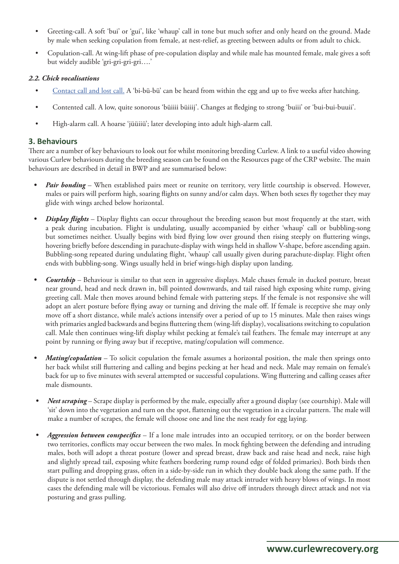- Greeting-call. A soft 'bui' or 'gui', like 'whaup' call in tone but much softer and only heard on the ground. Made by male when seeking copulation from female, at nest-relief, as greeting between adults or from adult to chick.
- Copulation-call. At wing-lift phase of pre-copulation display and while male has mounted female, male gives a soft but widely audible 'gri-gri-gri-gri….'

## *2.2. Chick vocalisations*

- [Contact call and lost call.](https://www.xeno-canto.org/369843) A 'bi-bü-bü' can be heard from within the egg and up to five weeks after hatching.
- Contented call. A low, quite sonorous 'büiiii büiiij'. Changes at fledging to strong 'buiii' or 'bui-bui-buuii'.
- High-alarm call. A hoarse 'jüüiiü'; later developing into adult high-alarm call.

## **3. Behaviours**

There are a number of key behaviours to look out for whilst monitoring breeding Curlew. A link to a useful video showing various Curlew behaviours during the breeding season can be found on the Resources page of the CRP website. The main behaviours are described in detail in BWP and are summarised below:

- *• Pair bonding* When established pairs meet or reunite on territory, very little courtship is observed. However, males or pairs will perform high, soaring flights on sunny and/or calm days. When both sexes fly together they may glide with wings arched below horizontal.
- *Display flights* Display flights can occur throughout the breeding season but most frequently at the start, with a peak during incubation. Flight is undulating, usually accompanied by either 'whaup' call or bubbling-song but sometimes neither. Usually begins with bird flying low over ground then rising steeply on fluttering wings, hovering briefly before descending in parachute-display with wings held in shallow V-shape, before ascending again. Bubbling-song repeated during undulating flight, 'whaup' call usually given during parachute-display. Flight often ends with bubbling-song. Wings usually held in brief wings-high display upon landing.
- *• Courtship* Behaviour is similar to that seen in aggressive displays. Male chases female in ducked posture, breast near ground, head and neck drawn in, bill pointed downwards, and tail raised high exposing white rump, giving greeting call. Male then moves around behind female with pattering steps. If the female is not responsive she will adopt an alert posture before flying away or turning and driving the male off. If female is receptive she may only move off a short distance, while male's actions intensify over a period of up to 15 minutes. Male then raises wings with primaries angled backwards and begins fluttering them (wing-lift display), vocalisations switching to copulation call. Male then continues wing-lift display whilst pecking at female's tail feathers. The female may interrupt at any point by running or flying away but if receptive, mating/copulation will commence.
- *• Mating/copulation* To solicit copulation the female assumes a horizontal position, the male then springs onto her back whilst still fluttering and calling and begins pecking at her head and neck. Male may remain on female's back for up to five minutes with several attempted or successful copulations. Wing fluttering and calling ceases after male dismounts.
- *• Nest scraping* Scrape display is performed by the male, especially after a ground display (see courtship). Male will 'sit' down into the vegetation and turn on the spot, flattening out the vegetation in a circular pattern. The male will make a number of scrapes, the female will choose one and line the nest ready for egg laying.
- *• Aggression between conspecifics* If a lone male intrudes into an occupied territory, or on the border between two territories, conflicts may occur between the two males. In mock fighting between the defending and intruding males, both will adopt a threat posture (lower and spread breast, draw back and raise head and neck, raise high and slightly spread tail, exposing white feathers bordering rump round edge of folded primaries). Both birds then start pulling and dropping grass, often in a side-by-side run in which they double back along the same path. If the dispute is not settled through display, the defending male may attack intruder with heavy blows of wings. In most cases the defending male will be victorious. Females will also drive off intruders through direct attack and not via posturing and grass pulling.